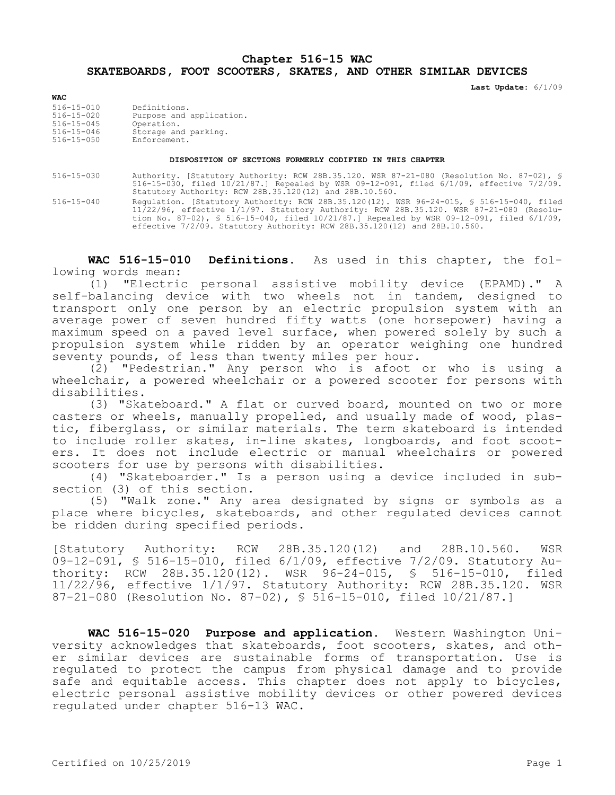## **Chapter 516-15 WAC SKATEBOARDS, FOOT SCOOTERS, SKATES, AND OTHER SIMILAR DEVICES**

**Last Update:** 6/1/09

| <b>WAC</b>                                                                                       |                                                                                                |
|--------------------------------------------------------------------------------------------------|------------------------------------------------------------------------------------------------|
| $516 - 15 - 010$<br>$516 - 15 - 020$<br>$516 - 15 - 045$<br>$516 - 15 - 046$<br>$516 - 15 - 050$ | Definitions.<br>Purpose and application.<br>Operation.<br>Storage and parking.<br>Enforcement. |
|                                                                                                  |                                                                                                |

## **DISPOSITION OF SECTIONS FORMERLY CODIFIED IN THIS CHAPTER**

516-15-030 Authority. [Statutory Authority: RCW 28B.35.120. WSR 87-21-080 (Resolution No. 87-02), § 516-15-030, filed 10/21/87.] Repealed by WSR 09-12-091, filed 6/1/09, effective 7/2/09. Statutory Authority: RCW 28B.35.120(12) and 28B.10.560.

516-15-040 Regulation. [Statutory Authority: RCW 28B.35.120(12). WSR 96-24-015, § 516-15-040, filed 11/22/96, effective 1/1/97. Statutory Authority: RCW 28B.35.120. WSR 87-21-080 (Resolution No. 87-02), § 516-15-040, filed 10/21/87.] Repealed by WSR 09-12-091, filed 6/1/09, effective 7/2/09. Statutory Authority: RCW 28B.35.120(12) and 28B.10.560.

**WAC 516-15-010 Definitions.** As used in this chapter, the following words mean:

(1) "Electric personal assistive mobility device (EPAMD)." A self-balancing device with two wheels not in tandem, designed to transport only one person by an electric propulsion system with an average power of seven hundred fifty watts (one horsepower) having a maximum speed on a paved level surface, when powered solely by such a propulsion system while ridden by an operator weighing one hundred seventy pounds, of less than twenty miles per hour.

(2) "Pedestrian." Any person who is afoot or who is using a wheelchair, a powered wheelchair or a powered scooter for persons with disabilities.

(3) "Skateboard." A flat or curved board, mounted on two or more casters or wheels, manually propelled, and usually made of wood, plastic, fiberglass, or similar materials. The term skateboard is intended to include roller skates, in-line skates, longboards, and foot scooters. It does not include electric or manual wheelchairs or powered scooters for use by persons with disabilities.

(4) "Skateboarder." Is a person using a device included in subsection (3) of this section.

(5) "Walk zone." Any area designated by signs or symbols as a place where bicycles, skateboards, and other regulated devices cannot be ridden during specified periods.

[Statutory Authority: RCW 28B.35.120(12) and 28B.10.560. WSR 09-12-091, § 516-15-010, filed 6/1/09, effective 7/2/09. Statutory Authority: RCW 28B.35.120(12). WSR 96-24-015, § 516-15-010, filed 11/22/96, effective 1/1/97. Statutory Authority: RCW 28B.35.120. WSR 87-21-080 (Resolution No. 87-02), § 516-15-010, filed 10/21/87.]

**WAC 516-15-020 Purpose and application.** Western Washington University acknowledges that skateboards, foot scooters, skates, and other similar devices are sustainable forms of transportation. Use is regulated to protect the campus from physical damage and to provide safe and equitable access. This chapter does not apply to bicycles, electric personal assistive mobility devices or other powered devices regulated under chapter 516-13 WAC.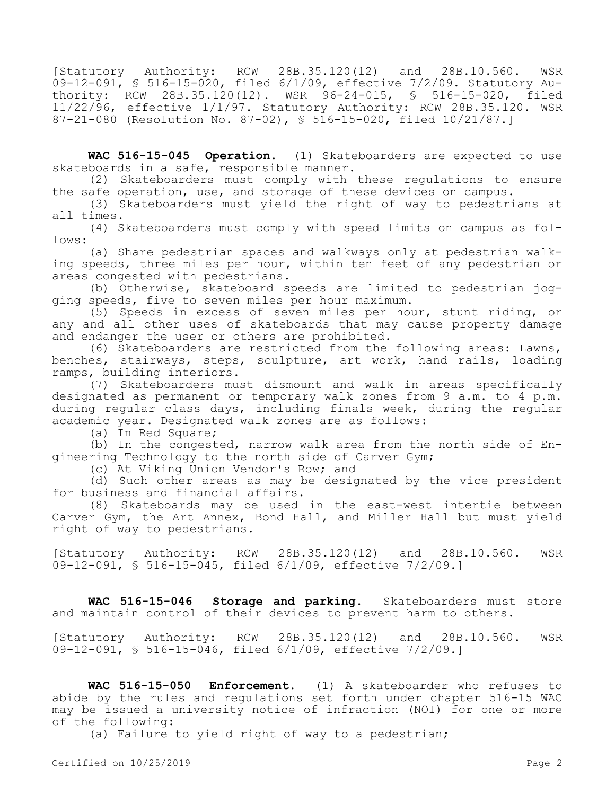[Statutory Authority: RCW 28B.35.120(12) and 28B.10.560. WSR 09-12-091, § 516-15-020, filed 6/1/09, effective 7/2/09. Statutory Authority: RCW 28B.35.120(12). WSR 96-24-015, § 516-15-020, filed 11/22/96, effective 1/1/97. Statutory Authority: RCW 28B.35.120. WSR 87-21-080 (Resolution No. 87-02), § 516-15-020, filed 10/21/87.]

**WAC 516-15-045 Operation.** (1) Skateboarders are expected to use skateboards in a safe, responsible manner.

(2) Skateboarders must comply with these regulations to ensure the safe operation, use, and storage of these devices on campus.

(3) Skateboarders must yield the right of way to pedestrians at all times.

(4) Skateboarders must comply with speed limits on campus as follows:

(a) Share pedestrian spaces and walkways only at pedestrian walking speeds, three miles per hour, within ten feet of any pedestrian or areas congested with pedestrians.

(b) Otherwise, skateboard speeds are limited to pedestrian jogging speeds, five to seven miles per hour maximum.

(5) Speeds in excess of seven miles per hour, stunt riding, or any and all other uses of skateboards that may cause property damage and endanger the user or others are prohibited.

(6) Skateboarders are restricted from the following areas: Lawns, benches, stairways, steps, sculpture, art work, hand rails, loading ramps, building interiors.

(7) Skateboarders must dismount and walk in areas specifically designated as permanent or temporary walk zones from 9 a.m. to 4 p.m. during regular class days, including finals week, during the regular academic year. Designated walk zones are as follows:

(a) In Red Square;

(b) In the congested, narrow walk area from the north side of Engineering Technology to the north side of Carver Gym;

(c) At Viking Union Vendor's Row; and

(d) Such other areas as may be designated by the vice president for business and financial affairs.

(8) Skateboards may be used in the east-west intertie between Carver Gym, the Art Annex, Bond Hall, and Miller Hall but must yield right of way to pedestrians.

[Statutory Authority: RCW 28B.35.120(12) and 28B.10.560. WSR 09-12-091, § 516-15-045, filed 6/1/09, effective 7/2/09.]

**WAC 516-15-046 Storage and parking.** Skateboarders must store and maintain control of their devices to prevent harm to others.

[Statutory Authority: RCW 28B.35.120(12) and 28B.10.560. WSR 09-12-091, § 516-15-046, filed 6/1/09, effective 7/2/09.]

**WAC 516-15-050 Enforcement.** (1) A skateboarder who refuses to abide by the rules and regulations set forth under chapter 516-15 WAC may be issued a university notice of infraction (NOI) for one or more of the following:

(a) Failure to yield right of way to a pedestrian;